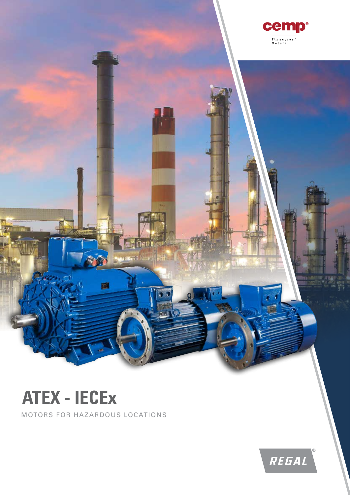

## **ATEX - IECEx**

MOTORS FOR HAZARDOUS LOCATIONS

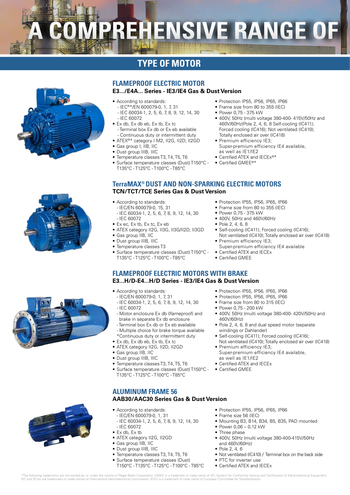# **MPREHENSIVE RANGE OF**

### **TYPE OF MOTOR**

#### **FLAMEPROOF ELECTRIC MOTOR**

#### **E3.../E4A... Series - IE3/IE4 Gas & Dust Version**

- According to standards: - IEC®\*/EN 600079-0, 1, 7, 31
- IEC 60034-1, 2, 5, 6, 7, 8, 9, 12, 14, 30 - IEC 60072
- Ex db, Ex db eb, Ex tb, Ex tc - Terminal box Ex db or Ex eb available Continuous duty or intermittent duty
- ATEX®\* category I M2, II2G, II2D, II2GD • Gas group I, IIB, IIC
- Dust group IIIB, IIIC
- Temperature classes T3, T4, T5, T6
- Surface temperature classes (Dust) T150°C -
- T135°C T125°C T100°C T85°C
- Protection IP55, IP56, IP65, IP66
- Frame size from 80 to 355 (IEC)
- Power 0,75 375 kW
- 400V, 50Hz (multi voltage 380-400- 415V/50Hz and 460V/60Hz)Pole 2, 4, 6, 8 Self-cooling (IC411); Forced cooling (IC416); Not ventilated (IC410); Totally enclosed air over (IC418)
- Premium efficiency IE3; Super-premium efficiency IE4 available, as well as IE1/IE2
- Certified ATEX and IECEx®\*
- Certified GMEE®\*
- **TerraMAX® DUST AND NON-SPARKING ELECTRIC MOTORS TCN/TCT/TCE Series Gas & Dust Version**
	- According to standards:
	- IEC/EN 600079-0, 15, 31
	- IEC 60034-1, 2, 5, 6, 7, 8, 9, 12, 14, 30 - IEC 60072
	- Ex ec, Ex tb, Ex tc, Ex eb
	- ATEX category II2G, II3G, II3G/II2D, II3GD
	- Gas group IIB, IIC
	- Dust group IIIB, IIIC
	- Temperature classes T3
	- Surface temperature classes (Dust) T150°C T135°C - T125°C - T100°C - T85°C
- Protection IP55, IP56, IP65, IP66
- Frame size from 80 to 355 (IEC)
- Power 0,75 375 kW
- 400V, 50Hz and 460V/60Hz
- Pole 2, 4, 6, 8
- Self-cooling (IC411); Forced cooling (IC416); Not ventilated (IC410); Totally enclosed air over (IC418)
- Premium efficiency IE3; Super-premium efficiency IE4 available
- Certified ATEX and IECEx
- Certified GMEE

#### **FLAMEPROOF ELECTRIC MOTORS WITH BRAKE E3...H/D-E4...H/D Series - IE3/IE4 Gas & Dust Version**

- According to standards:
	- IEC/EN 600079-0, 1, 7, 31 - IEC 60034-1, 2, 5, 6, 7, 8, 9, 12, 14, 30
	- IEC 60072
- Motor enclosure Ex db (flameproof) and brake in separate Ex db enclosure
- Terminal box Ex db or Ex eb available - Multiple choice for brake torque available
- \*Continuous duty or intermittent duty • Ex db, Ex db eb, Ex tb, Ex tc
- ATEX category II2G, II2D, II2GD
- Gas group IIB, IIC
- Dust group IIIB, IIIC
- Temperature classes T3, T4, T5, T6
- Surface temperature classes (Dust) T150°C -
- T135°C T125°C T100°C T85°C
- Protection IP55, IP56, IP65, IP66
- Protection IP55, IP56, IP65, IP66 • Frame size from 80 to 315 (IEC)
- Power 0,75 200 kW
- 400V, 50Hz (multi voltage 380-400- 420V/50Hz and 460V/60Hz)
- Pole 2, 4, 6, 8 and dual speed motor (separate windings or Dahlander)
- Self-cooling (IC411); Forced cooling (IC416);
- Not ventilated (IC410); Totally enclosed air over (IC418) • Premium efficiency IE3;
	- Super-premium efficiency IE4 available, as well as IE1/IE2
- Certified ATEX and IECEx
- Certified GMEE
- **ALUMINUM FRAME 56**

#### **AAB30/AAC30 Series Gas & Dust Version**

- According to standards:
- IEC/EN 600079-0, 1, 31 - IEC 60034-1, 2, 5, 6, 7, 8, 9, 12, 14, 30
- IEC 60072
- Ex db, Ex tb • ATEX category II2G, II2GD
- 
- Gas group IIB, IIC
- Dust group IIIB, IIIC
- Temperature classes T3, T4, T5, T6
- Surface temperature classes (Dust)
- T150°C T135°C T125°C T100°C T85°C
- Protection IP55, IP56, IP65, IP66
- Frame size 56 (IEC)
- Mounting B3, B14, B34, B5, B35, PAD mounted
- Power 0,06 0,12 kW
- Three phase • 400V, 50Hz (multi voltage 380-400-415V/50Hz and 460V/60Hz)
- Pole 2, 4, 6
- Not ventilated (IC410) / Terminal box on the back side
- PTC for inverter use
- Certified ATEX and IECEx

\*The following trademarks are not owned by, or under the control of Regal Beloit Corporation: GMEE is a trademark or trade name of IEC System for Conformity testing and Certification of Electrotechnical Equipment;<br>IEC and





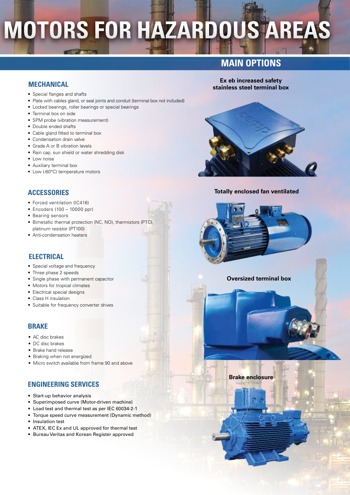## **MOTORS FOR HAZARDOUS AREAS**

### **MAIN OPTIONS**

**Ex eb increased safety stainless steel terminal box**

#### **MECHANICAL**

- Special flanges and shafts
- Plate with cables gland, or seal joints and conduit (terminal box not included)
- Locked bearings, roller bearings or special bearings
- Terminal box on side
- SPM probe (vibration measurement)
- Double ended shafts
- Cable gland fitted to terminal box
- Condensation drain valve
- Grade A or B vibration levels
- Rain cap, sun shield or water shredding disk
- Low noise
- Auxiliary terminal box
- Low (-60°C) temperature motors

#### **ACCESSORIES**

- Forced ventilation (IC416)
- Encoders (100 10000 ppr)
- Bearing sensors
- Bimetallic thermal protection (NC, NO), thermistors (PTC), platinum resistor (PT100)
- Anti-condensation heaters

#### **ELECTRICAL**

- Special voltage and frequency
- Three phase 2 speeds
- Single phase with permanent capacitor
- Motors for tropical climates
- Electrical special designs
- Class H insulation
- Suitable for frequency converter drives

#### **BRAKE**

- AC disc brakes
- DC disc brakes
- Brake hand release
- Braking when not energized
- Micro switch available from frame 90 and above

#### **ENGINEERING SERVICES**

- Start-up behavior analysis
- Superimposed curve (Motor-driven machine)
- Load test and thermal test as per IEC 60034-2-1
- Torque speed curve measurement (Dynamic method)
- Insulation test
- ATEX, IEC Ex and UL approved for thermal test
- Bureau Veritas and Korean Register approved



**Totally enclosed fan ventilated**

#### **Oversized terminal box**

**Brake enclosure**